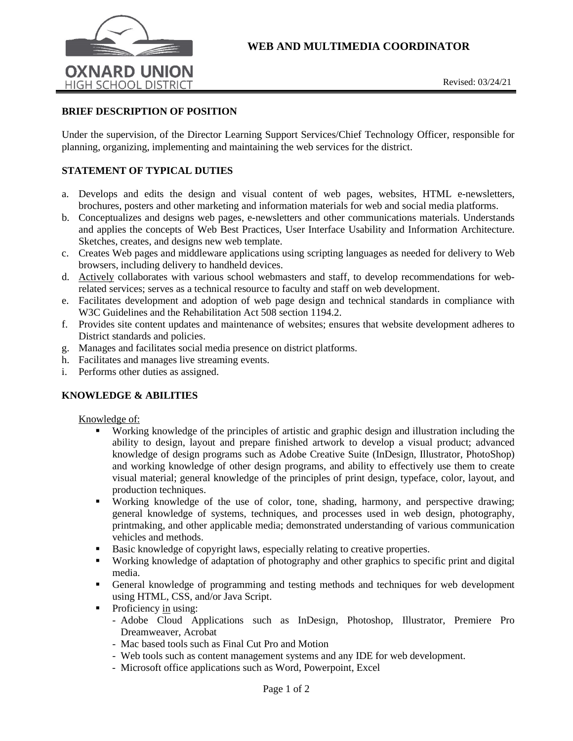

## **BRIEF DESCRIPTION OF POSITION**

Under the supervision, of the Director Learning Support Services/Chief Technology Officer, responsible for planning, organizing, implementing and maintaining the web services for the district.

# **STATEMENT OF TYPICAL DUTIES**

- a. Develops and edits the design and visual content of web pages, websites, HTML e-newsletters, brochures, posters and other marketing and information materials for web and social media platforms.
- b. Conceptualizes and designs web pages, e-newsletters and other communications materials. Understands and applies the concepts of Web Best Practices, User Interface Usability and Information Architecture. Sketches, creates, and designs new web template.
- c. Creates Web pages and middleware applications using scripting languages as needed for delivery to Web browsers, including delivery to handheld devices.
- d. Actively collaborates with various school webmasters and staff, to develop recommendations for webrelated services; serves as a technical resource to faculty and staff on web development.
- e. Facilitates development and adoption of web page design and technical standards in compliance with W3C Guidelines and the Rehabilitation Act 508 section 1194.2.
- f. Provides site content updates and maintenance of websites; ensures that website development adheres to District standards and policies.
- g. Manages and facilitates social media presence on district platforms.
- h. Facilitates and manages live streaming events.
- i. Performs other duties as assigned.

### **KNOWLEDGE & ABILITIES**

#### Knowledge of:

- Working knowledge of the principles of artistic and graphic design and illustration including the ability to design, layout and prepare finished artwork to develop a visual product; advanced knowledge of design programs such as Adobe Creative Suite (InDesign, Illustrator, PhotoShop) and working knowledge of other design programs, and ability to effectively use them to create visual material; general knowledge of the principles of print design, typeface, color, layout, and production techniques.
- Working knowledge of the use of color, tone, shading, harmony, and perspective drawing; general knowledge of systems, techniques, and processes used in web design, photography, printmaking, and other applicable media; demonstrated understanding of various communication vehicles and methods.
- Basic knowledge of copyright laws, especially relating to creative properties.
- Working knowledge of adaptation of photography and other graphics to specific print and digital media.
- General knowledge of programming and testing methods and techniques for web development using HTML, CSS, and/or Java Script.
- $\blacksquare$  Proficiency in using:
	- Adobe Cloud Applications such as InDesign, Photoshop, Illustrator, Premiere Pro Dreamweaver, Acrobat
	- Mac based tools such as Final Cut Pro and Motion
	- Web tools such as content management systems and any IDE for web development.
	- Microsoft office applications such as Word, Powerpoint, Excel